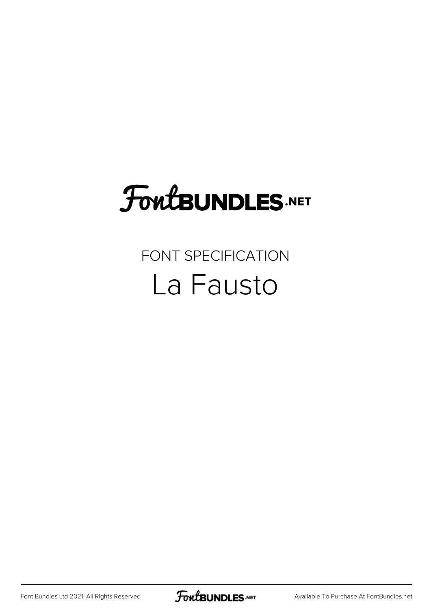## FoutBUNDLES.NET

## FONT SPECIFICATION La Fausto

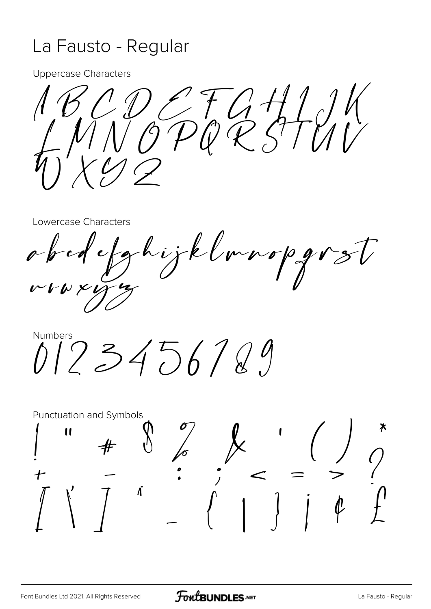## La Fausto - Regular

**Uppercase Characters** 

NOPQZSTUN

Lowercase Characters

tghijklmnopgrst  $0$  for  $\leq t$  $V$ 

Numbers  $0123456789$ 

**Punctuation and Symbols**  $\mathbf{u}$  $\begin{pmatrix} x & 1 \\ 1 & 1 \end{pmatrix}$  $\frac{1}{6}$  $\boldsymbol{\hat{\Lambda}}$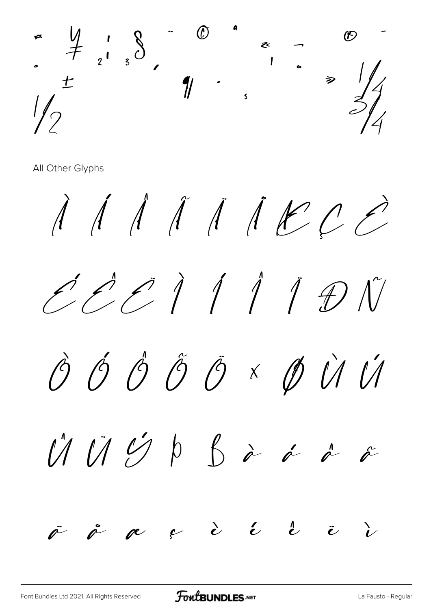

All Other Glyphs

 $\begin{array}{c} \begin{array}{c} \mathbf{A} \end{array} & \mathbf{A} \end{array} \begin{array}{c} \mathbf{A} \end{array} \begin{array}{c} \mathbf{A} \end{array} \begin{array}{c} \mathbf{A} \end{array} \begin{array}{c} \mathbf{A} \end{array} \begin{array}{c} \mathbf{A} \end{array} \begin{array}{c} \mathbf{A} \end{array} \begin{array}{c} \mathbf{A} \end{array} \begin{array}{c} \mathbf{A} \end{array} \begin{array}{c} \mathbf{A} \end{array} \begin{array}{c} \mathbf{A} \end{array} \begin{$  $ZCDIIDIV$ ÔÓÔÔÔרÙÚ  $\bigcup\limits_{\alpha=1}^{\infty}\bigcup\limits_{\alpha=1}^{\infty}\bigcup\limits_{\beta=1}^{\infty}\phi$  $\stackrel{\sim}{\mathscr{O}}$  $\mathring{\ell}$  $\int f(x) dx$  $\stackrel{1}{\sim}$  $\epsilon$  $\ddot{\mathbf{c}}$ r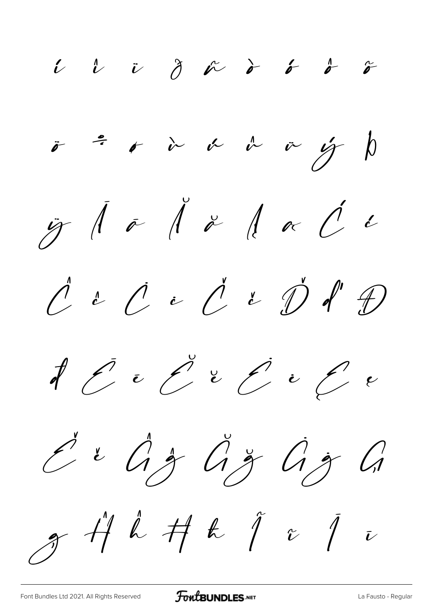$\begin{array}{cccccccccccccccccc} i & l & v & \partial & \kappa & \delta & \delta & \delta & \delta & \delta \end{array}$  $\ddot{\sigma}$   $\ddot{\sigma}$   $\dot{\sigma}$   $\dot{\alpha}$   $\dot{\alpha}$   $\dot{\alpha}$   $\dot{\alpha}$   $\dot{\beta}$   $\dot{\beta}$  $\ddot{y}$   $\ddot{\theta}$   $\ddot{\theta}$   $\ddot{\theta}$   $\ddot{\theta}$   $\ddot{\theta}$   $\ddot{\theta}$   $\ddot{\theta}$   $\ddot{\theta}$  $\rho$  i  $\rho$  i  $\rho$  i  $\rho$  d' $\theta$  $f$   $f$   $e$   $f$   $e$   $f$   $e$   $f$   $e$ Ě ě Ĝ ĝ Ğ ğ Ġ ġ Ģ  $g$   $\H$   $\mu$   $f$   $f$   $f$   $i$   $j$   $i$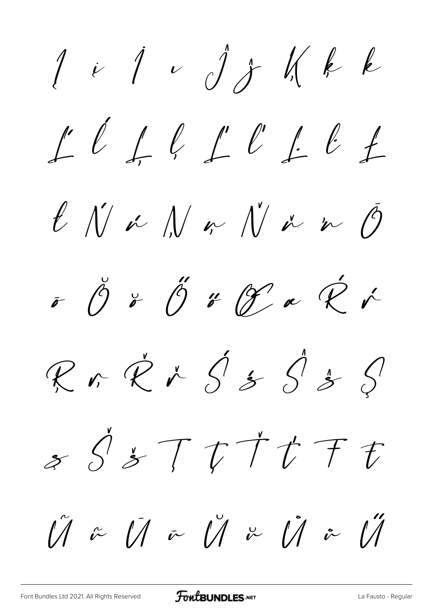$1$  i  $1$  v  $j$   $j$   $k$   $k$  $L\ell\neq\ell\perp\ell\perp\ell\neq$  $l$  N i N i N i  $l$  $\sigma$   $\ddot{\theta}$   $\ddot{\theta}$  if  $\ddot{\theta}$  a  $\ddot{\mathcal{R}}$  i Rrk $X \circ \mathcal{L} \circ \mathcal{S} \circ \mathcal{S}$  $s\mathcal{S}s$  $\tilde{U}$   $\tilde{\omega}$   $\tilde{U}$   $\tilde{\omega}$   $\tilde{U}$   $\tilde{\omega}$   $\tilde{U}$   $\tilde{\omega}$   $\tilde{U}$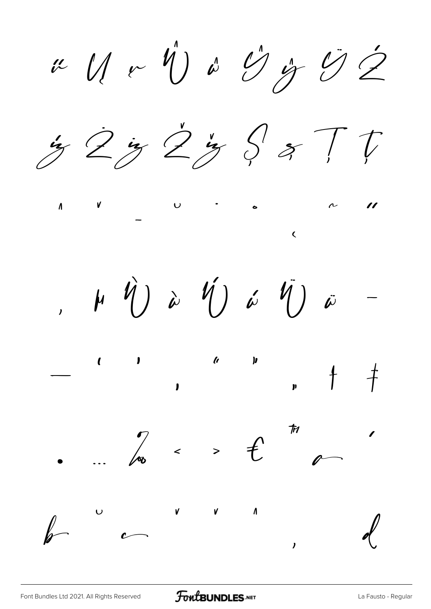u U v V v G j O Z





 $\mu$   $\hat{V}$ ) à  $\hat{V}$ ) á  $\hat{V}$ ) ã